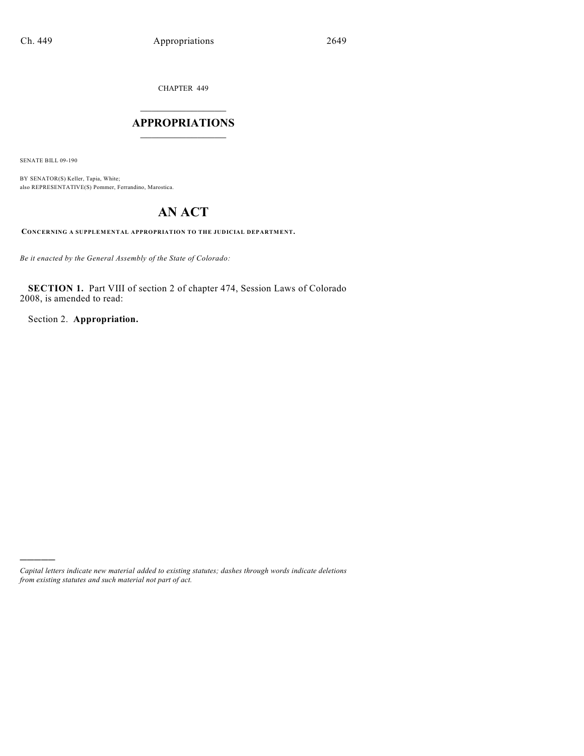CHAPTER 449

# $\mathcal{L}_\text{max}$  . The set of the set of the set of the set of the set of the set of the set of the set of the set of the set of the set of the set of the set of the set of the set of the set of the set of the set of the set **APPROPRIATIONS**  $\_$   $\_$   $\_$   $\_$   $\_$   $\_$   $\_$   $\_$

SENATE BILL 09-190

)))))

BY SENATOR(S) Keller, Tapia, White; also REPRESENTATIVE(S) Pommer, Ferrandino, Marostica.

# **AN ACT**

**CONCERNING A SUPPLEMENTAL APPROPRIATION TO THE JUDICIAL DEPARTMENT.**

*Be it enacted by the General Assembly of the State of Colorado:*

**SECTION 1.** Part VIII of section 2 of chapter 474, Session Laws of Colorado 2008, is amended to read:

Section 2. **Appropriation.**

*Capital letters indicate new material added to existing statutes; dashes through words indicate deletions from existing statutes and such material not part of act.*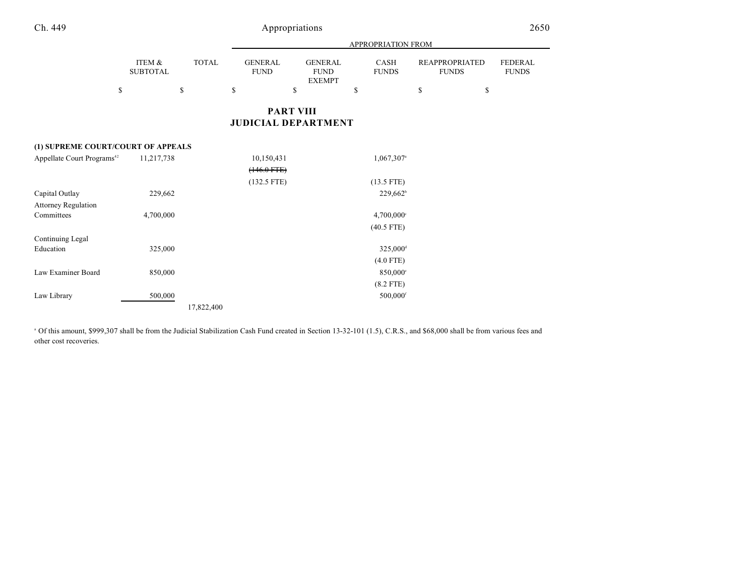|                                        |                           |              |  | APPROPRIATION FROM            |                  |    |                                                |    |                          |                                       |  |    |                                |
|----------------------------------------|---------------------------|--------------|--|-------------------------------|------------------|----|------------------------------------------------|----|--------------------------|---------------------------------------|--|----|--------------------------------|
|                                        | ITEM &<br><b>SUBTOTAL</b> | <b>TOTAL</b> |  | <b>GENERAL</b><br><b>FUND</b> |                  |    | <b>GENERAL</b><br><b>FUND</b><br><b>EXEMPT</b> |    | CASH<br><b>FUNDS</b>     | <b>REAPPROPRIATED</b><br><b>FUNDS</b> |  |    | <b>FEDERAL</b><br><b>FUNDS</b> |
|                                        | \$                        | \$           |  | \$                            |                  | \$ |                                                | \$ |                          | \$                                    |  | \$ |                                |
|                                        |                           |              |  |                               | <b>PART VIII</b> |    | <b>JUDICIAL DEPARTMENT</b>                     |    |                          |                                       |  |    |                                |
| (1) SUPREME COURT/COURT OF APPEALS     |                           |              |  |                               |                  |    |                                                |    |                          |                                       |  |    |                                |
| Appellate Court Programs <sup>42</sup> | 11,217,738                |              |  |                               | 10,150,431       |    |                                                |    | 1,067,307 <sup>a</sup>   |                                       |  |    |                                |
|                                        |                           |              |  |                               | $(146.0$ FTE $)$ |    |                                                |    |                          |                                       |  |    |                                |
|                                        |                           |              |  |                               | $(132.5$ FTE)    |    |                                                |    | $(13.5$ FTE)             |                                       |  |    |                                |
| Capital Outlay                         | 229,662                   |              |  |                               |                  |    |                                                |    | $229,662^{\circ}$        |                                       |  |    |                                |
| <b>Attorney Regulation</b>             |                           |              |  |                               |                  |    |                                                |    |                          |                                       |  |    |                                |
| Committees                             | 4,700,000                 |              |  |                               |                  |    |                                                |    | $4,700,000$ <sup>c</sup> |                                       |  |    |                                |
|                                        |                           |              |  |                               |                  |    |                                                |    | $(40.5$ FTE)             |                                       |  |    |                                |
| Continuing Legal                       |                           |              |  |                               |                  |    |                                                |    |                          |                                       |  |    |                                |
| Education                              | 325,000                   |              |  |                               |                  |    |                                                |    | 325,000 <sup>d</sup>     |                                       |  |    |                                |
|                                        |                           |              |  |                               |                  |    |                                                |    | $(4.0$ FTE)              |                                       |  |    |                                |
| Law Examiner Board                     | 850,000                   |              |  |                               |                  |    |                                                |    | 850,000°                 |                                       |  |    |                                |
|                                        |                           |              |  |                               |                  |    |                                                |    | $(8.2$ FTE)              |                                       |  |    |                                |

 $500,000$  500,000 500,000 500,000 500,000 500,000 500,000 500,000 500,000 500,000 500,000 500,000 500,000 500,000 500,000 500,000 500,000 500,000 500,000 500,000 500,000 500,000 500,000 500,000 500,000 500,000 500,000 500

17,822,400

<sup>a</sup> Of this amount, \$999,307 shall be from the Judicial Stabilization Cash Fund created in Section 13-32-101 (1.5), C.R.S., and \$68,000 shall be from various fees and other cost recoveries.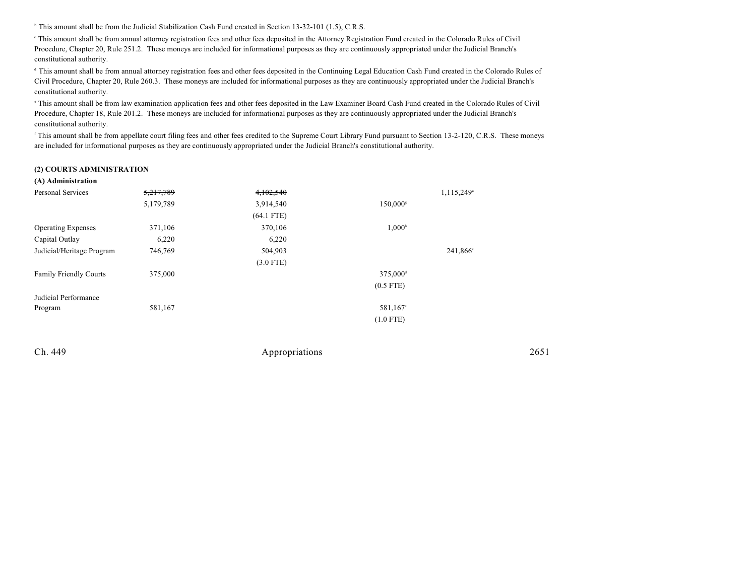<sup>h</sup> This amount shall be from the Judicial Stabilization Cash Fund created in Section 13-32-101 (1.5), C.R.S.

 This amount shall be from annual attorney registration fees and other fees deposited in the Attorney Registration Fund created in the Colorado Rules of Civil <sup>c</sup> Procedure, Chapter 20, Rule 251.2. These moneys are included for informational purposes as they are continuously appropriated under the Judicial Branch's constitutional authority.

<sup>d</sup> This amount shall be from annual attorney registration fees and other fees deposited in the Continuing Legal Education Cash Fund created in the Colorado Rules of Civil Procedure, Chapter 20, Rule 260.3. These moneys are included for informational purposes as they are continuously appropriated under the Judicial Branch's constitutional authority.

 This amount shall be from law examination application fees and other fees deposited in the Law Examiner Board Cash Fund created in the Colorado Rules of Civil <sup>e</sup> Procedure, Chapter 18, Rule 201.2. These moneys are included for informational purposes as they are continuously appropriated under the Judicial Branch's constitutional authority.

<sup>f</sup> This amount shall be from appellate court filing fees and other fees credited to the Supreme Court Library Fund pursuant to Section 13-2-120, C.R.S. These moneys are included for informational purposes as they are continuously appropriated under the Judicial Branch's constitutional authority.

#### **(2) COURTS ADMINISTRATION**

| (A) Administration            |           |              |                        |                        |
|-------------------------------|-----------|--------------|------------------------|------------------------|
| Personal Services             | 5,217,789 | 4,102,540    |                        | 1,115,249 <sup>a</sup> |
|                               | 5,179,789 | 3,914,540    | $150,000$ <sup>s</sup> |                        |
|                               |           | $(64.1$ FTE) |                        |                        |
| <b>Operating Expenses</b>     | 371,106   | 370,106      | $1,000^{\circ}$        |                        |
| Capital Outlay                | 6,220     | 6,220        |                        |                        |
| Judicial/Heritage Program     | 746,769   | 504,903      |                        | 241,866 <sup>c</sup>   |
|                               |           | $(3.0$ FTE)  |                        |                        |
| <b>Family Friendly Courts</b> | 375,000   |              | 375,000 <sup>d</sup>   |                        |
|                               |           |              | $(0.5$ FTE)            |                        |
| Judicial Performance          |           |              |                        |                        |
| Program                       | 581,167   |              | 581,167 <sup>e</sup>   |                        |
|                               |           |              | $(1.0$ FTE)            |                        |

| Ch. 449 | Appropriations | 2651 |
|---------|----------------|------|
|         |                |      |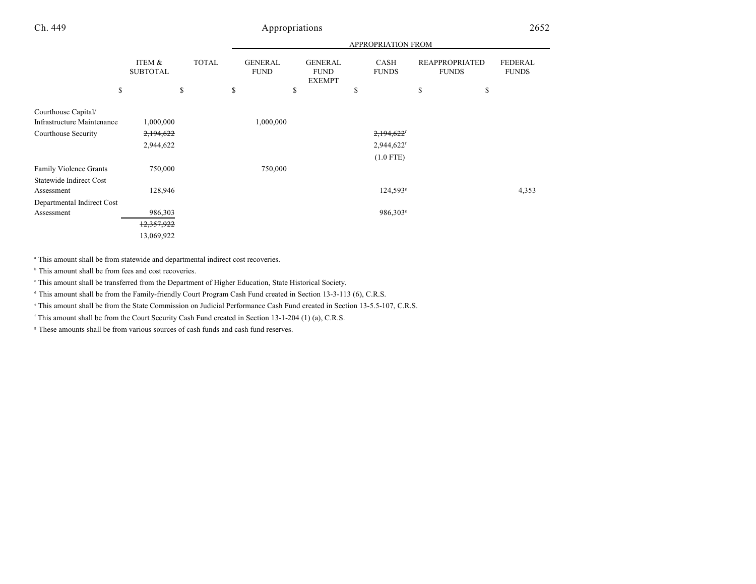|                                                                          |                           |              | <b>APPROPRIATION FROM</b> |                               |    |                                                |    |                                         |    |                                       |                                |
|--------------------------------------------------------------------------|---------------------------|--------------|---------------------------|-------------------------------|----|------------------------------------------------|----|-----------------------------------------|----|---------------------------------------|--------------------------------|
|                                                                          | ITEM &<br><b>SUBTOTAL</b> | <b>TOTAL</b> |                           | <b>GENERAL</b><br><b>FUND</b> |    | <b>GENERAL</b><br><b>FUND</b><br><b>EXEMPT</b> |    | CASH<br><b>FUNDS</b>                    |    | <b>REAPPROPRIATED</b><br><b>FUNDS</b> | <b>FEDERAL</b><br><b>FUNDS</b> |
| \$                                                                       |                           | \$           | \$                        |                               | \$ |                                                | \$ |                                         | \$ | \$                                    |                                |
| Courthouse Capital/<br>Infrastructure Maintenance<br>Courthouse Security | 1,000,000<br>2,194,622    |              |                           | 1,000,000                     |    |                                                |    | 2,194,622'                              |    |                                       |                                |
|                                                                          | 2,944,622                 |              |                           |                               |    |                                                |    | $2,944,622$ <sup>f</sup><br>$(1.0$ FTE) |    |                                       |                                |
| <b>Family Violence Grants</b><br><b>Statewide Indirect Cost</b>          | 750,000                   |              |                           | 750,000                       |    |                                                |    |                                         |    |                                       |                                |
| Assessment                                                               | 128,946                   |              |                           |                               |    |                                                |    | $124,593$ <sup>s</sup>                  |    |                                       | 4,353                          |
| Departmental Indirect Cost                                               |                           |              |                           |                               |    |                                                |    |                                         |    |                                       |                                |
| Assessment                                                               | 986,303                   |              |                           |                               |    |                                                |    | 986,303 <sup>s</sup>                    |    |                                       |                                |
|                                                                          | 12,357,922                |              |                           |                               |    |                                                |    |                                         |    |                                       |                                |
|                                                                          | 13,069,922                |              |                           |                               |    |                                                |    |                                         |    |                                       |                                |

<sup>a</sup> This amount shall be from statewide and departmental indirect cost recoveries.

 $\,^{\circ}$  This amount shall be from fees and cost recoveries.

This amount shall be transferred from the Department of Higher Education, State Historical Society. <sup>c</sup>

<sup>d</sup> This amount shall be from the Family-friendly Court Program Cash Fund created in Section 13-3-113 (6), C.R.S.

<sup>e</sup> This amount shall be from the State Commission on Judicial Performance Cash Fund created in Section 13-5.5-107, C.R.S.

 $\lceil$  This amount shall be from the Court Security Cash Fund created in Section 13-1-204 (1) (a), C.R.S.

<sup>8</sup> These amounts shall be from various sources of cash funds and cash fund reserves.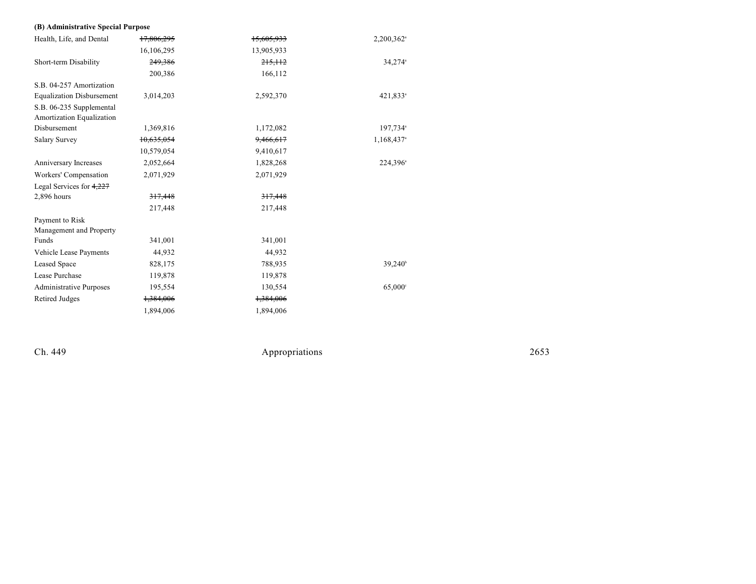#### **(B) Ad ministrative Special Purpose**

| Health, Life, and Dental         | 17,806,295 | 15,605,933 | 2,200,362 <sup>a</sup> |
|----------------------------------|------------|------------|------------------------|
|                                  | 16,106,295 | 13,905,933 |                        |
| Short-term Disability            | 249,386    | 215, 112   | $34,274$ <sup>a</sup>  |
|                                  | 200,386    | 166,112    |                        |
| S.B. 04-257 Amortization         |            |            |                        |
| <b>Equalization Disbursement</b> | 3,014,203  | 2,592,370  | 421,833 <sup>a</sup>   |
| S.B. 06-235 Supplemental         |            |            |                        |
| Amortization Equalization        |            |            |                        |
| Disbursement                     | 1,369,816  | 1,172,082  | 197,734 <sup>a</sup>   |
| <b>Salary Survey</b>             | 10,635,054 | 9,466,617  | 1,168,437 <sup>a</sup> |
|                                  | 10,579,054 | 9,410,617  |                        |
| Anniversary Increases            | 2,052,664  | 1,828,268  | 224,396 <sup>a</sup>   |
| Workers' Compensation            | 2,071,929  | 2,071,929  |                        |
| Legal Services for $4,227$       |            |            |                        |
| $2,896$ hours                    | 317,448    | 317.448    |                        |
|                                  | 217,448    | 217,448    |                        |
| Payment to Risk                  |            |            |                        |
| Management and Property          |            |            |                        |
| Funds                            | 341,001    | 341,001    |                        |
| Vehicle Lease Payments           | 44,932     | 44,932     |                        |
| Leased Space                     | 828,175    | 788,935    | 39,240 <sup>b</sup>    |
| Lease Purchase                   | 119,878    | 119,878    |                        |
| <b>Administrative Purposes</b>   | 195,554    | 130,554    | 65,000°                |
| Retired Judges                   | 1,384,006  | 1,384,006  |                        |
|                                  | 1,894,006  | 1,894,006  |                        |

Ch. 449

Appropr iat

ions 2653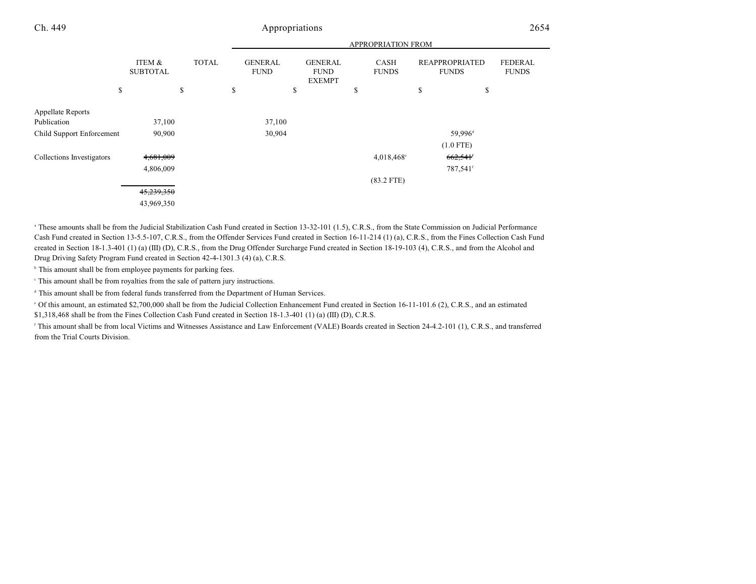|                           |                           |              | <b>APPROPRIATION FROM</b>     |    |                                                |    |                          |    |                                       |                                |
|---------------------------|---------------------------|--------------|-------------------------------|----|------------------------------------------------|----|--------------------------|----|---------------------------------------|--------------------------------|
|                           | ITEM &<br><b>SUBTOTAL</b> | <b>TOTAL</b> | <b>GENERAL</b><br><b>FUND</b> |    | <b>GENERAL</b><br><b>FUND</b><br><b>EXEMPT</b> |    | CASH<br><b>FUNDS</b>     |    | <b>REAPPROPRIATED</b><br><b>FUNDS</b> | <b>FEDERAL</b><br><b>FUNDS</b> |
| \$                        | \$                        |              | \$                            | \$ |                                                | \$ |                          | \$ | \$                                    |                                |
|                           |                           |              |                               |    |                                                |    |                          |    |                                       |                                |
| <b>Appellate Reports</b>  |                           |              |                               |    |                                                |    |                          |    |                                       |                                |
| Publication               | 37,100                    |              | 37,100                        |    |                                                |    |                          |    |                                       |                                |
| Child Support Enforcement | 90,900                    |              | 30,904                        |    |                                                |    |                          |    | 59,996 <sup>d</sup>                   |                                |
|                           |                           |              |                               |    |                                                |    |                          |    | $(1.0$ FTE)                           |                                |
| Collections Investigators | 4,681,009                 |              |                               |    |                                                |    | $4,018,468$ <sup>c</sup> |    | 662,541                               |                                |
|                           | 4,806,009                 |              |                               |    |                                                |    |                          |    | 787,541 <sup>f</sup>                  |                                |
|                           |                           |              |                               |    |                                                |    | $(83.2$ FTE)             |    |                                       |                                |
|                           | 45,239,350                |              |                               |    |                                                |    |                          |    |                                       |                                |
|                           | 43,969,350                |              |                               |    |                                                |    |                          |    |                                       |                                |

<sup>a</sup> These amounts shall be from the Judicial Stabilization Cash Fund created in Section 13-32-101 (1.5), C.R.S., from the State Commission on Judicial Performance Cash Fund created in Section 13-5.5-107, C.R.S., from the Offender Services Fund created in Section 16-11-214 (1) (a), C.R.S., from the Fines Collection Cash Fund created in Section 18-1.3-401 (1) (a) (III) (D), C.R.S., from the Drug Offender Surcharge Fund created in Section 18-19-103 (4), C.R.S., and from the Alcohol and Drug Driving Safety Program Fund created in Section 42-4-1301.3 (4) (a), C.R.S.

 $b$  This amount shall be from employee payments for parking fees.

This amount shall be from royalties from the sale of pattern jury instructions. <sup>c</sup>

 $\triangleq$  This amount shall be from federal funds transferred from the Department of Human Services.

 Of this amount, an estimated \$2,700,000 shall be from the Judicial Collection Enhancement Fund created in Section 16-11-101.6 (2), C.R.S., and an estimated <sup>e</sup> \$1,318,468 shall be from the Fines Collection Cash Fund created in Section 18-1.3-401 (1) (a) (III) (D), C.R.S.

<sup>f</sup> This amount shall be from local Victims and Witnesses Assistance and Law Enforcement (VALE) Boards created in Section 24-4.2-101 (1), C.R.S., and transferred from the Trial Courts Division.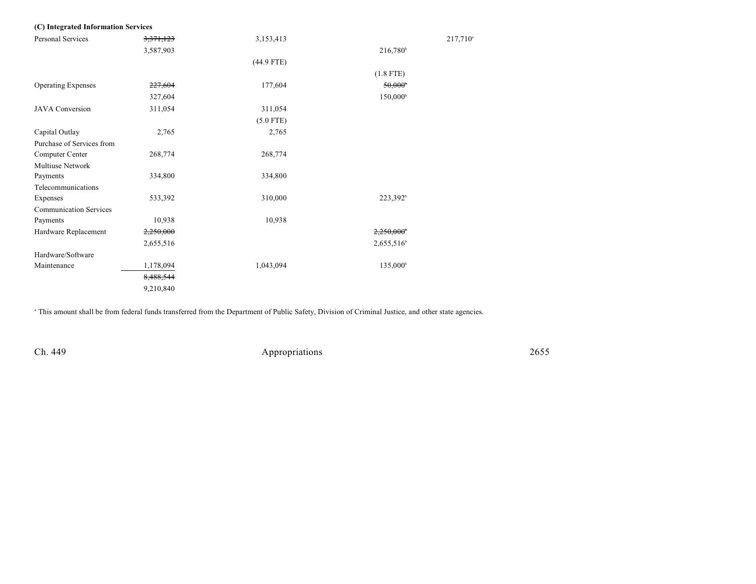| (C) Integrated Information Services |           |              |                       |         |
|-------------------------------------|-----------|--------------|-----------------------|---------|
| Personal Services                   | 3,371,123 | 3,153,413    |                       | 217,710 |
|                                     | 3,587,903 |              | 216,780 <sup>b</sup>  |         |
|                                     |           | $(44.9$ FTE) |                       |         |
|                                     |           |              | $(1.8$ FTE)           |         |
| <b>Operating Expenses</b>           | 227,604   | 177,604      | $50,000$ <sup>b</sup> |         |
|                                     | 327,604   |              | 150,000 <sup>b</sup>  |         |
| <b>JAVA</b> Conversion              | 311,054   | 311,054      |                       |         |
|                                     |           | $(5.0$ FTE)  |                       |         |
| Capital Outlay                      | 2,765     | 2,765        |                       |         |
| Purchase of Services from           |           |              |                       |         |
| Computer Center                     | 268,774   | 268,774      |                       |         |
| Multiuse Network                    |           |              |                       |         |
| Payments                            | 334,800   | 334,800      |                       |         |
| Telecommunications                  |           |              |                       |         |
| Expenses                            | 533,392   | 310,000      | 223,392 <sup>b</sup>  |         |
| <b>Communication Services</b>       |           |              |                       |         |
| Payments                            | 10,938    | 10,938       |                       |         |
| Hardware Replacement                | 2,250,000 |              | 2,250,000             |         |
|                                     | 2,655,516 |              | $2,655,516^b$         |         |
| Hardware/Software                   |           |              |                       |         |
| Maintenance                         | 1,178,094 | 1,043,094    | 135,000 <sup>b</sup>  |         |
|                                     | 8,488,544 |              |                       |         |
|                                     | 9,210,840 |              |                       |         |

<sup>a</sup> This amount shall be from federal funds transferred from the Department of Public Safety, Division of Criminal Justice, and other state agencies.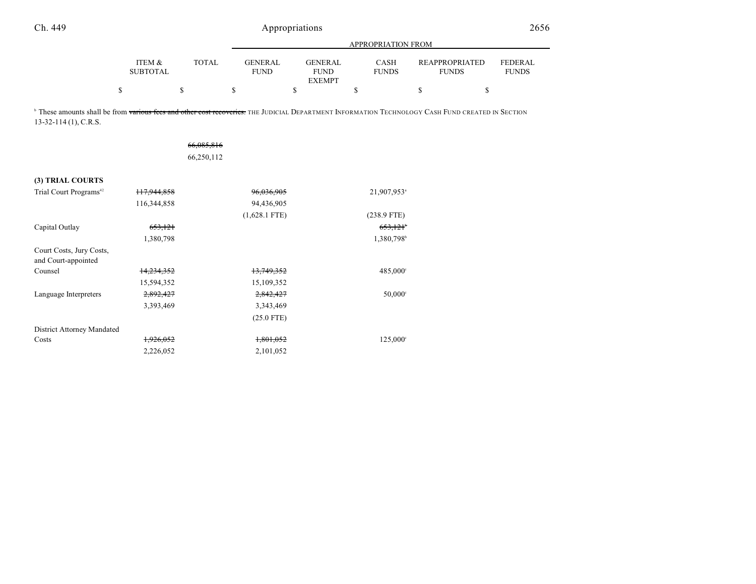|                           |              | APPROPRIATION FROM     |                                         |                             |                                |                                |  |  |  |  |  |  |
|---------------------------|--------------|------------------------|-----------------------------------------|-----------------------------|--------------------------------|--------------------------------|--|--|--|--|--|--|
| ITEM &<br><b>SUBTOTAL</b> | <b>TOTAL</b> | GENERAL<br><b>FUND</b> | GENERAL<br><b>FUND</b><br><b>EXEMPT</b> | <b>CASH</b><br><b>FUNDS</b> | REAPPROPRIATED<br><b>FUNDS</b> | <b>FEDERAL</b><br><b>FUNDS</b> |  |  |  |  |  |  |
|                           |              |                        |                                         |                             |                                |                                |  |  |  |  |  |  |

<sup>b</sup> These amounts shall be from various fees and other cost recoveries. The JUDICIAL DEPARTMENT INFORMATION TECHNOLOGY CASH FUND CREATED IN SECTION 13-32-114 (1), C.R.S.

|                                                 |                        | 66,085,816<br>66,250,112 |                         |
|-------------------------------------------------|------------------------|--------------------------|-------------------------|
| (3) TRIAL COURTS                                |                        |                          |                         |
| Trial Court Programs <sup>42</sup>              | <del>117,944,858</del> | 96,036,905               | 21,907,953 <sup>a</sup> |
|                                                 | 116,344,858            | 94,436,905               |                         |
|                                                 |                        | $(1,628.1$ FTE)          | $(238.9$ FTE)           |
| Capital Outlay                                  | 653,121                |                          | 653,121 <sup>b</sup>    |
|                                                 | 1,380,798              |                          | 1,380,798 <sup>b</sup>  |
| Court Costs, Jury Costs,<br>and Court-appointed |                        |                          |                         |
| Counsel                                         | <del>14,234,352</del>  | 13,749,352               | $485,000^{\circ}$       |
|                                                 | 15,594,352             | 15,109,352               |                         |
| Language Interpreters                           | 2,892,427              | 2,842,427                | $50,000^{\circ}$        |
|                                                 | 3,393,469              | 3,343,469                |                         |
|                                                 |                        | $(25.0$ FTE)             |                         |
| District Attorney Mandated                      |                        |                          |                         |
| Costs                                           | 1,926,052              | 1,801,052                | $125,000^{\circ}$       |
|                                                 | 2,226,052              | 2,101,052                |                         |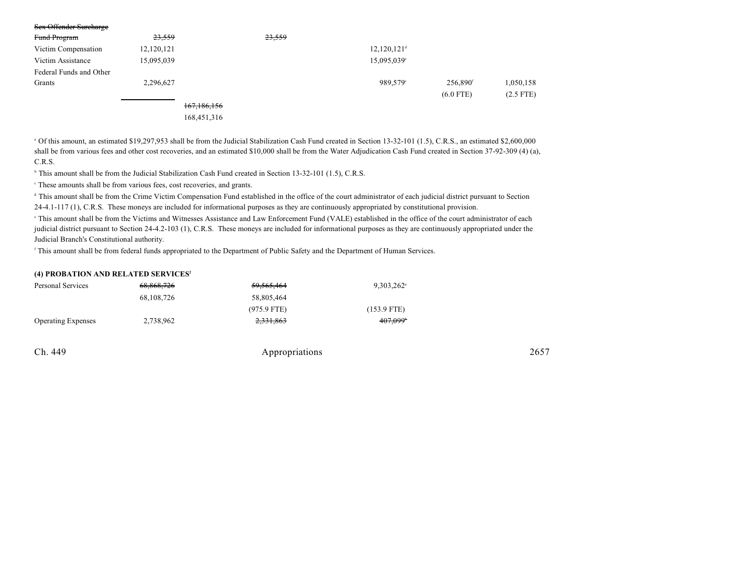| Sex Offender Surcharge  |            |               |        |                         |                      |             |
|-------------------------|------------|---------------|--------|-------------------------|----------------------|-------------|
| Fund Program            | 23,559     |               | 23,559 |                         |                      |             |
| Victim Compensation     | 12,120,121 |               |        | 12,120,121 <sup>d</sup> |                      |             |
| Victim Assistance       | 15,095,039 |               |        | 15,095,039°             |                      |             |
| Federal Funds and Other |            |               |        |                         |                      |             |
| Grants                  | 2,296,627  |               |        | 989.579°                | 256,890 <sup>f</sup> | 1,050,158   |
|                         |            |               |        |                         | $(6.0$ FTE)          | $(2.5$ FTE) |
|                         |            | 167, 186, 156 |        |                         |                      |             |
|                         |            | 168,451,316   |        |                         |                      |             |

 Of this amount, an estimated \$19,297,953 shall be from the Judicial Stabilization Cash Fund created in Section 13-32-101 (1.5), C.R.S., an estimated \$2,600,000 <sup>a</sup> shall be from various fees and other cost recoveries, and an estimated \$10,000 shall be from the Water Adjudication Cash Fund created in Section 37-92-309 (4) (a), C.R.S.

<sup>h</sup> This amount shall be from the Judicial Stabilization Cash Fund created in Section 13-32-101 (1.5), C.R.S.

These amounts shall be from various fees, cost recoveries, and grants. <sup>c</sup>

<sup>d</sup> This amount shall be from the Crime Victim Compensation Fund established in the office of the court administrator of each judicial district pursuant to Section 24-4.1-117 (1), C.R.S. These moneys are included for informational purposes as they are continuously appropriated by constitutional provision.

 This amount shall be from the Victims and Witnesses Assistance and Law Enforcement Fund (VALE) established in the office of the court administrator of each <sup>e</sup> judicial district pursuant to Section 24-4.2-103 (1), C.R.S. These moneys are included for informational purposes as they are continuously appropriated under the Judicial Branch's Constitutional authority.

<sup>f</sup> This amount shall be from federal funds appropriated to the Department of Public Safety and the Department of Human Services.

#### **(4) PROBATION AND RELATED SERVICES<sup>2</sup>**

| Personal Services         | 68.868.726 | <del>59,565,464</del> | $9.303.262$ <sup>a</sup> |
|---------------------------|------------|-----------------------|--------------------------|
|                           | 68,108,726 | 58.805.464            |                          |
|                           |            | $(975.9$ FTE)         | $(153.9$ FTE)            |
| <b>Operating Expenses</b> | 2,738,962  | 2,331,863             | $407,099$ <sup>*</sup>   |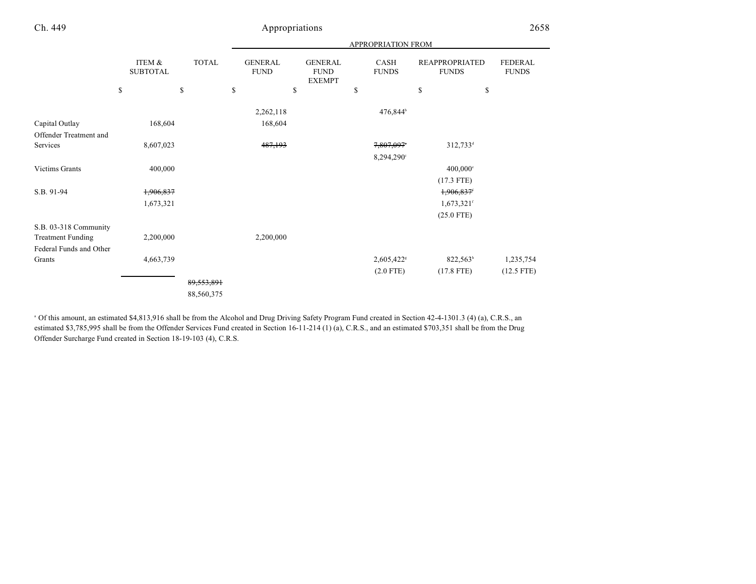|                          |                                 |                    |                                     |                                                      | <b>APPROPRIATION FROM</b>  |                                                   |                                |
|--------------------------|---------------------------------|--------------------|-------------------------------------|------------------------------------------------------|----------------------------|---------------------------------------------------|--------------------------------|
|                          | \$<br>ITEM &<br><b>SUBTOTAL</b> | \$<br><b>TOTAL</b> | \$<br><b>GENERAL</b><br><b>FUND</b> | \$<br><b>GENERAL</b><br><b>FUND</b><br><b>EXEMPT</b> | \$<br>CASH<br><b>FUNDS</b> | \$<br><b>REAPPROPRIATED</b><br><b>FUNDS</b><br>\$ | <b>FEDERAL</b><br><b>FUNDS</b> |
|                          |                                 |                    |                                     |                                                      |                            |                                                   |                                |
|                          |                                 |                    | 2,262,118                           |                                                      | 476,844 <sup>b</sup>       |                                                   |                                |
| Capital Outlay           | 168,604                         |                    | 168,604                             |                                                      |                            |                                                   |                                |
| Offender Treatment and   |                                 |                    |                                     |                                                      |                            |                                                   |                                |
| Services                 | 8,607,023                       |                    | 487,193                             |                                                      | 7,807,097*                 | $312,733^d$                                       |                                |
|                          |                                 |                    |                                     |                                                      | 8,294,290°                 |                                                   |                                |
| Victims Grants           | 400,000                         |                    |                                     |                                                      |                            | $400,000$ °                                       |                                |
|                          |                                 |                    |                                     |                                                      |                            | $(17.3$ FTE)                                      |                                |
| S.B. 91-94               | 1,906,837                       |                    |                                     |                                                      |                            | 1,906,837                                         |                                |
|                          | 1,673,321                       |                    |                                     |                                                      |                            | $1,673,321$ <sup>f</sup>                          |                                |
|                          |                                 |                    |                                     |                                                      |                            | $(25.0$ FTE)                                      |                                |
| S.B. 03-318 Community    |                                 |                    |                                     |                                                      |                            |                                                   |                                |
| <b>Treatment Funding</b> | 2,200,000                       |                    | 2,200,000                           |                                                      |                            |                                                   |                                |
| Federal Funds and Other  |                                 |                    |                                     |                                                      |                            |                                                   |                                |
| Grants                   | 4,663,739                       |                    |                                     |                                                      | 2,605,422 <sup>s</sup>     | 822,563h                                          | 1,235,754                      |
|                          |                                 |                    |                                     |                                                      | $(2.0$ FTE)                | $(17.8$ FTE)                                      | $(12.5$ FTE)                   |
|                          |                                 | 89,553,891         |                                     |                                                      |                            |                                                   |                                |
|                          |                                 | 88,560,375         |                                     |                                                      |                            |                                                   |                                |
|                          |                                 |                    |                                     |                                                      |                            |                                                   |                                |

 Of this amount, an estimated \$4,813,916 shall be from the Alcohol and Drug Driving Safety Program Fund created in Section 42-4-1301.3 (4) (a), C.R.S., an <sup>a</sup> estimated \$3,785,995 shall be from the Offender Services Fund created in Section 16-11-214 (1) (a), C.R.S., and an estimated \$703,351 shall be from the Drug Offender Surcharge Fund created in Section 18-19-103 (4), C.R.S.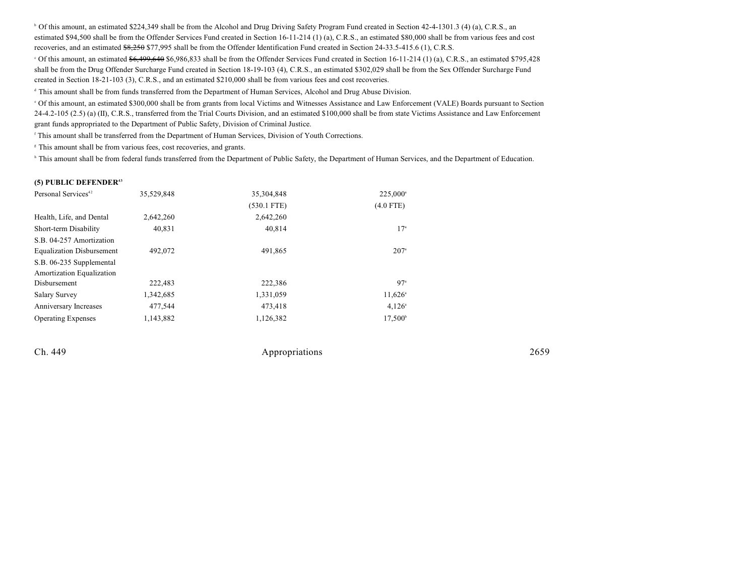<sup>b</sup> Of this amount, an estimated \$224,349 shall be from the Alcohol and Drug Driving Safety Program Fund created in Section 42-4-1301.3 (4) (a), C.R.S., an estimated \$94,500 shall be from the Offender Services Fund created in Section 16-11-214 (1) (a), C.R.S., an estimated \$80,000 shall be from various fees and cost recoveries, and an estimated  $$8,250$  \$77,995 shall be from the Offender Identification Fund created in Section 24-33.5-415.6 (1), C.R.S.

 $\degree$  Of this amount, an estimated  $\frac{6}{6}$ ,  $\frac{499}{640}$  \$6,986,833 shall be from the Offender Services Fund created in Section 16-11-214 (1) (a), C.R.S., an estimated \$795,428 shall be from the Drug Offender Surcharge Fund created in Section 18-19-103 (4), C.R.S., an estimated \$302,029 shall be from the Sex Offender Surcharge Fund created in Section 18-21-103 (3), C.R.S., and an estimated \$210,000 shall be from various fees and cost recoveries.

<sup>d</sup> This amount shall be from funds transferred from the Department of Human Services, Alcohol and Drug Abuse Division.

 Of this amount, an estimated \$300,000 shall be from grants from local Victims and Witnesses Assistance and Law Enforcement (VALE) Boards pursuant to Section <sup>e</sup>  $24-4.2-105$  (2.5) (a) (II), C.R.S., transferred from the Trial Courts Division, and an estimated \$100,000 shall be from state Victims Assistance and Law Enforcement grant funds appropriated to the Department of Public Safety, Division of Criminal Justice.

This amount shall be transferred from the Department of Human Services, Division of Youth Corrections.

<sup>8</sup> This amount shall be from various fees, cost recoveries, and grants.

<sup>h</sup> This amount shall be from federal funds transferred from the Department of Public Safety, the Department of Human Services, and the Department of Education.

#### **(5) PUBLIC DEFENDER<sup>43</sup>**

| Personal Services <sup>42</sup>  | 35,529,848 | 35,304,848    | 225,000 <sup>a</sup> |
|----------------------------------|------------|---------------|----------------------|
|                                  |            | $(530.1$ FTE) | $(4.0$ FTE)          |
| Health, Life, and Dental         | 2,642,260  | 2,642,260     |                      |
| Short-term Disability            | 40,831     | 40,814        | 17 <sup>a</sup>      |
| S.B. 04-257 Amortization         |            |               |                      |
| <b>Equalization Disbursement</b> | 492,072    | 491,865       | $207^{\circ}$        |
| S.B. 06-235 Supplemental         |            |               |                      |
| Amortization Equalization        |            |               |                      |
| Disbursement                     | 222.483    | 222,386       | 97 <sup>a</sup>      |
| <b>Salary Survey</b>             | 1,342,685  | 1,331,059     | $11,626^{\circ}$     |
| Anniversary Increases            | 477,544    | 473,418       | $4,126^{\circ}$      |
| <b>Operating Expenses</b>        | 1,143,882  | 1,126,382     | $17,500^{\circ}$     |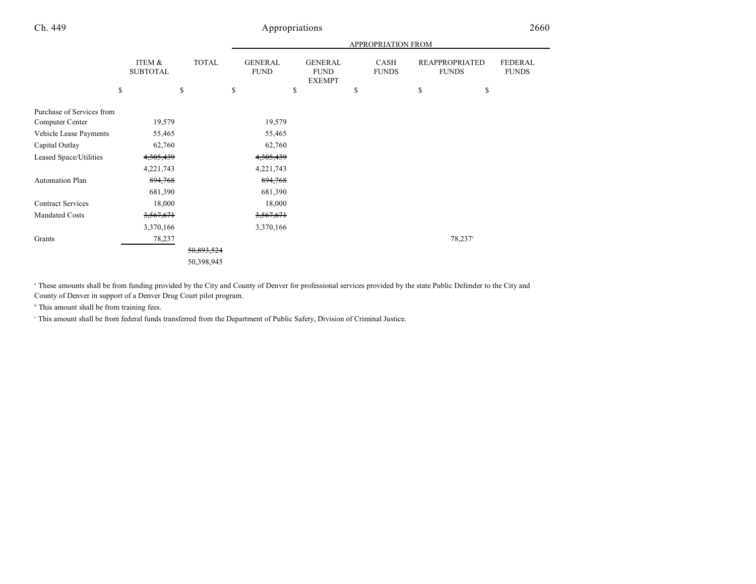|                           |                           |              |                               |                                                | APPROPRIATION FROM   |                                       |            |                                |
|---------------------------|---------------------------|--------------|-------------------------------|------------------------------------------------|----------------------|---------------------------------------|------------|--------------------------------|
|                           | ITEM &<br><b>SUBTOTAL</b> | <b>TOTAL</b> | <b>GENERAL</b><br><b>FUND</b> | <b>GENERAL</b><br><b>FUND</b><br><b>EXEMPT</b> | CASH<br><b>FUNDS</b> | <b>REAPPROPRIATED</b><br><b>FUNDS</b> |            | <b>FEDERAL</b><br><b>FUNDS</b> |
|                           | \$                        | \$           | \$                            | \$                                             | \$                   | \$                                    | \$         |                                |
| Purchase of Services from |                           |              |                               |                                                |                      |                                       |            |                                |
| Computer Center           | 19,579                    |              | 19,579                        |                                                |                      |                                       |            |                                |
| Vehicle Lease Payments    | 55,465                    |              | 55,465                        |                                                |                      |                                       |            |                                |
| Capital Outlay            | 62,760                    |              | 62,760                        |                                                |                      |                                       |            |                                |
| Leased Space/Utilities    | 4,305,439                 |              | 4,305,439                     |                                                |                      |                                       |            |                                |
|                           | 4,221,743                 |              | 4,221,743                     |                                                |                      |                                       |            |                                |
| Automation Plan           | 894,768                   |              | 894,768                       |                                                |                      |                                       |            |                                |
|                           | 681,390                   |              | 681,390                       |                                                |                      |                                       |            |                                |
| <b>Contract Services</b>  | 18,000                    |              | 18,000                        |                                                |                      |                                       |            |                                |
| Mandated Costs            | 3,567,671                 |              | 3,567,671                     |                                                |                      |                                       |            |                                |
|                           | 3,370,166                 |              | 3,370,166                     |                                                |                      |                                       |            |                                |
| Grants                    | 78,237                    |              |                               |                                                |                      |                                       | $78,237$ ° |                                |
|                           |                           | 50,893,524   |                               |                                                |                      |                                       |            |                                |
|                           |                           | 50,398,945   |                               |                                                |                      |                                       |            |                                |

<sup>a</sup> These amounts shall be from funding provided by the City and County of Denver for professional services provided by the state Public Defender to the City and County of Denver in support of a Denver Drug Court pilot program.

 $\,^{\circ}$  This amount shall be from training fees.

This amount shall be from federal funds transferred from the Department of Public Safety, Division of Criminal Justice. <sup>c</sup>

and the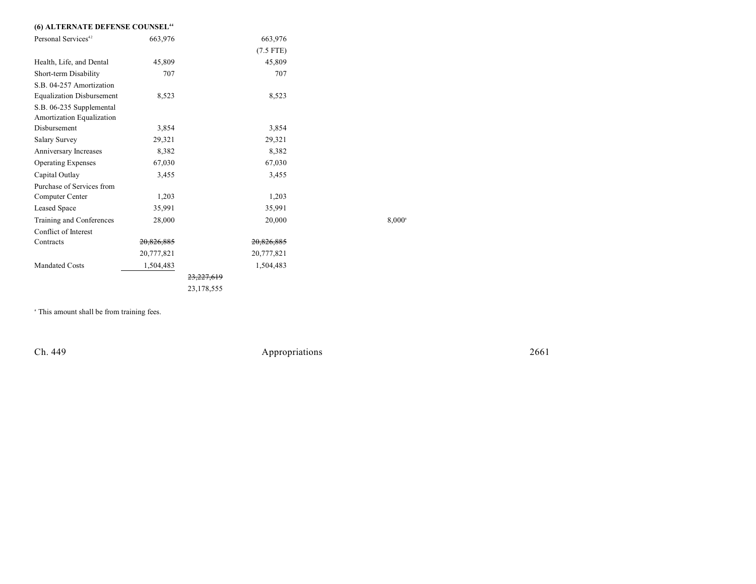### **(6) ALTERNATE DEFENSE COUNSEL<sup>44</sup>**

| Personal Services <sup>42</sup>                       | 663,976    | 663,976               |                 |
|-------------------------------------------------------|------------|-----------------------|-----------------|
|                                                       |            | $(7.5$ FTE)           |                 |
| Health, Life, and Dental                              | 45,809     | 45,809                |                 |
| Short-term Disability                                 | 707        | 707                   |                 |
| S.B. 04-257 Amortization                              |            |                       |                 |
| <b>Equalization Disbursement</b>                      | 8,523      | 8,523                 |                 |
| S.B. 06-235 Supplemental<br>Amortization Equalization |            |                       |                 |
| Disbursement                                          | 3,854      | 3,854                 |                 |
| <b>Salary Survey</b>                                  | 29,321     | 29,321                |                 |
| Anniversary Increases                                 | 8,382      | 8,382                 |                 |
| <b>Operating Expenses</b>                             | 67,030     | 67,030                |                 |
| Capital Outlay                                        | 3,455      | 3,455                 |                 |
| Purchase of Services from                             |            |                       |                 |
| Computer Center                                       | 1,203      | 1,203                 |                 |
| Leased Space                                          | 35,991     | 35,991                |                 |
| Training and Conferences                              | 28,000     | 20,000                | $8,000^{\circ}$ |
| Conflict of Interest                                  |            |                       |                 |
| Contracts                                             | 20,826,885 | 20,826,885            |                 |
|                                                       | 20,777,821 | 20,777,821            |                 |
| <b>Mandated Costs</b>                                 | 1,504,483  | 1,504,483             |                 |
|                                                       |            | <del>23,227,619</del> |                 |
|                                                       |            | 23,178,555            |                 |

<sup>a</sup> This amount shall be from training fees.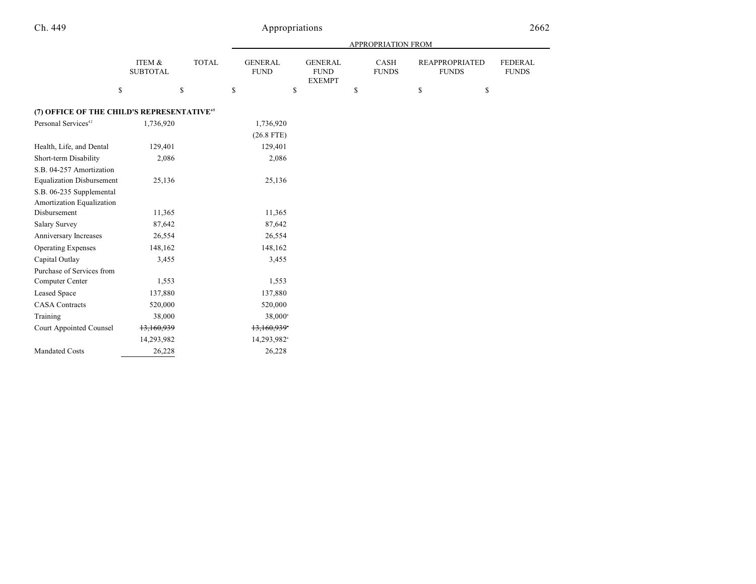|                                                        |                           |              |                               |                                                | APPROPRIATION FROM   |                                       |                                |
|--------------------------------------------------------|---------------------------|--------------|-------------------------------|------------------------------------------------|----------------------|---------------------------------------|--------------------------------|
|                                                        | ITEM &<br><b>SUBTOTAL</b> | <b>TOTAL</b> | <b>GENERAL</b><br><b>FUND</b> | <b>GENERAL</b><br><b>FUND</b><br><b>EXEMPT</b> | CASH<br><b>FUNDS</b> | <b>REAPPROPRIATED</b><br><b>FUNDS</b> | <b>FEDERAL</b><br><b>FUNDS</b> |
| \$                                                     | \$                        |              | \$                            | \$                                             | \$                   | \$<br>\$                              |                                |
| (7) OFFICE OF THE CHILD'S REPRESENTATIVE <sup>45</sup> |                           |              |                               |                                                |                      |                                       |                                |
| Personal Services <sup>42</sup>                        | 1,736,920                 |              | 1,736,920                     |                                                |                      |                                       |                                |
|                                                        |                           |              | $(26.8$ FTE)                  |                                                |                      |                                       |                                |
| Health, Life, and Dental                               | 129,401                   |              | 129,401                       |                                                |                      |                                       |                                |
| Short-term Disability                                  | 2,086                     |              | 2,086                         |                                                |                      |                                       |                                |
| S.B. 04-257 Amortization                               |                           |              |                               |                                                |                      |                                       |                                |
| <b>Equalization Disbursement</b>                       | 25,136                    |              | 25,136                        |                                                |                      |                                       |                                |
| S.B. 06-235 Supplemental                               |                           |              |                               |                                                |                      |                                       |                                |
| Amortization Equalization                              |                           |              |                               |                                                |                      |                                       |                                |
| Disbursement                                           | 11,365                    |              | 11,365                        |                                                |                      |                                       |                                |
| Salary Survey                                          | 87,642                    |              | 87,642                        |                                                |                      |                                       |                                |
| Anniversary Increases                                  | 26,554                    |              | 26,554                        |                                                |                      |                                       |                                |
| <b>Operating Expenses</b>                              | 148,162                   |              | 148,162                       |                                                |                      |                                       |                                |
| Capital Outlay                                         | 3,455                     |              | 3,455                         |                                                |                      |                                       |                                |
| Purchase of Services from                              |                           |              |                               |                                                |                      |                                       |                                |
| Computer Center                                        | 1,553                     |              | 1,553                         |                                                |                      |                                       |                                |
| Leased Space                                           | 137,880                   |              | 137,880                       |                                                |                      |                                       |                                |
| <b>CASA</b> Contracts                                  | 520,000                   |              | 520,000                       |                                                |                      |                                       |                                |
| Training                                               | 38,000                    |              | 38,000 <sup>a</sup>           |                                                |                      |                                       |                                |
| Court Appointed Counsel                                | 13,160,939                |              | 13,160,939*                   |                                                |                      |                                       |                                |
|                                                        | 14,293,982                |              | 14,293,982 <sup>a</sup>       |                                                |                      |                                       |                                |
| <b>Mandated Costs</b>                                  | 26,228                    |              | 26,228                        |                                                |                      |                                       |                                |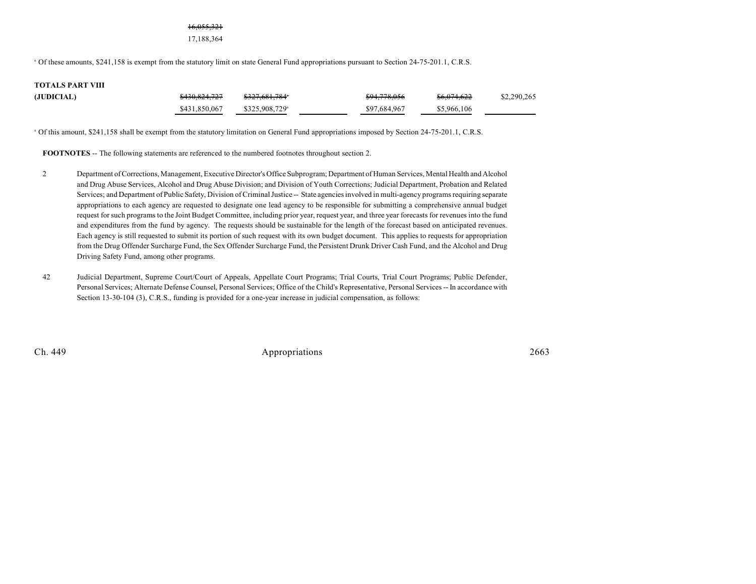#### 16,055,321

17,188,364

<sup>a</sup> Of these amounts, \$241,158 is exempt from the statutory limit on state General Fund appropriations pursuant to Section 24-75-201.1, C.R.S.

# **TOTALS PART VIII**

| (JUDICIAL) | \$430,824,727 | <del>\$327,681,784</del> * | <del>\$94,778,056</del> | <del>\$6,074,622</del> | \$2,290,265 |
|------------|---------------|----------------------------|-------------------------|------------------------|-------------|
|            | \$431,850,067 | \$325,908,729 <sup>a</sup> | \$97,684,967            | \$5,966,106            |             |

<sup>a</sup> Of this amount, \$241,158 shall be exempt from the statutory limitation on General Fund appropriations imposed by Section 24-75-201.1, C.R.S.

**FOOTNOTES** -- The following statements are referenced to the numbered footnotes throughout section 2.

- 2 Department of Corrections, Management, Executive Director's Office Subprogram; Department of Human Services, Mental Health and Alcohol and Drug Abuse Services, Alcohol and Drug Abuse Division; and Division of Youth Corrections; Judicial Department, Probation and Related Services; and Department of Public Safety, Division of Criminal Justice -- State agencies involved in multi-agency programs requiring separate appropriations to each agency are requested to designate one lead agency to be responsible for submitting a comprehensive annual budget request forsuch programs to the Joint Budget Committee, including prior year, request year, and three year forecasts for revenues into the fund and expenditures from the fund by agency. The requests should be sustainable for the length of the forecast based on anticipated revenues. Each agency is still requested to submit its portion of such request with its own budget document. This applies to requests for appropriation from the Drug Offender Surcharge Fund, the Sex Offender Surcharge Fund, the Persistent Drunk Driver Cash Fund, and the Alcohol and Drug Driving Safety Fund, among other programs.
- 42 Judicial Department, Supreme Court/Court of Appeals, Appellate Court Programs; Trial Courts, Trial Court Programs; Public Defender, Personal Services; Alternate Defense Counsel, Personal Services; Office of the Child's Representative, Personal Services -- In accordance with Section 13-30-104 (3), C.R.S., funding is provided for a one-year increase in judicial compensation, as follows: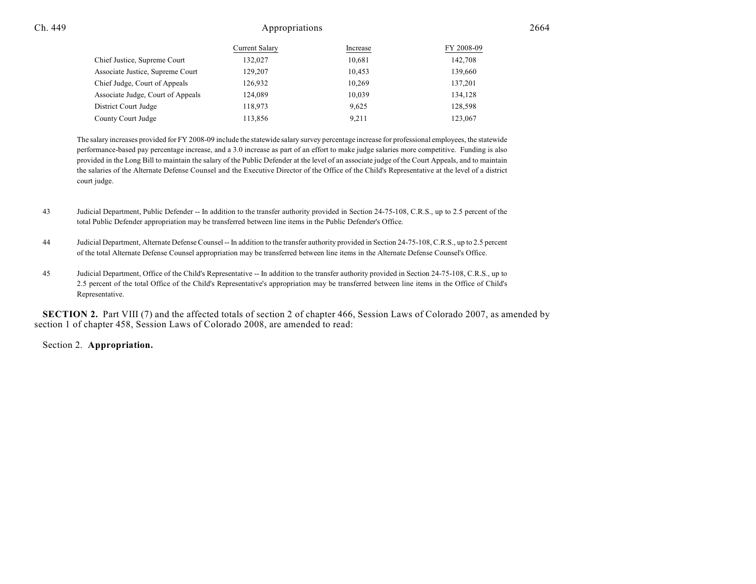|                                   | Current Salary | Increase | FY 2008-09 |
|-----------------------------------|----------------|----------|------------|
| Chief Justice, Supreme Court      | 132,027        | 10.681   | 142,708    |
| Associate Justice, Supreme Court  | 129,207        | 10.453   | 139,660    |
| Chief Judge, Court of Appeals     | 126.932        | 10.269   | 137,201    |
| Associate Judge, Court of Appeals | 124,089        | 10.039   | 134,128    |
| District Court Judge              | 118,973        | 9.625    | 128,598    |
| County Court Judge                | 113,856        | 9.211    | 123,067    |

The salary increases provided for FY 2008-09 include the statewide salary survey percentage increase for professional employees, the statewide performance-based pay percentage increase, and a 3.0 increase as part of an effort to make judge salaries more competitive. Funding is also provided in the Long Bill to maintain the salary of the Public Defender at the level of an associate judge of the Court Appeals, and to maintain the salaries of the Alternate Defense Counsel and the Executive Director of the Office of the Child's Representative at the level of a district court judge.

- 43 Judicial Department, Public Defender -- In addition to the transfer authority provided in Section 24-75-108, C.R.S., up to 2.5 percent of the total Public Defender appropriation may be transferred between line items in the Public Defender's Office.
- 44 Judicial Department, Alternate Defense Counsel -- In addition to the transfer authority provided in Section 24-75-108, C.R.S., up to 2.5 percent of the total Alternate Defense Counsel appropriation may be transferred between line items in the Alternate Defense Counsel's Office.
- 45 Judicial Department, Office of the Child's Representative -- In addition to the transfer authority provided in Section 24-75-108, C.R.S., up to 2.5 percent of the total Office of the Child's Representative's appropriation may be transferred between line items in the Office of Child's Representative.

**SECTION 2.** Part VIII (7) and the affected totals of section 2 of chapter 466, Session Laws of Colorado 2007, as amended by section 1 of chapter 458, Session Laws of Colorado 2008, are amended to read:

#### Section 2. **Appropriation.**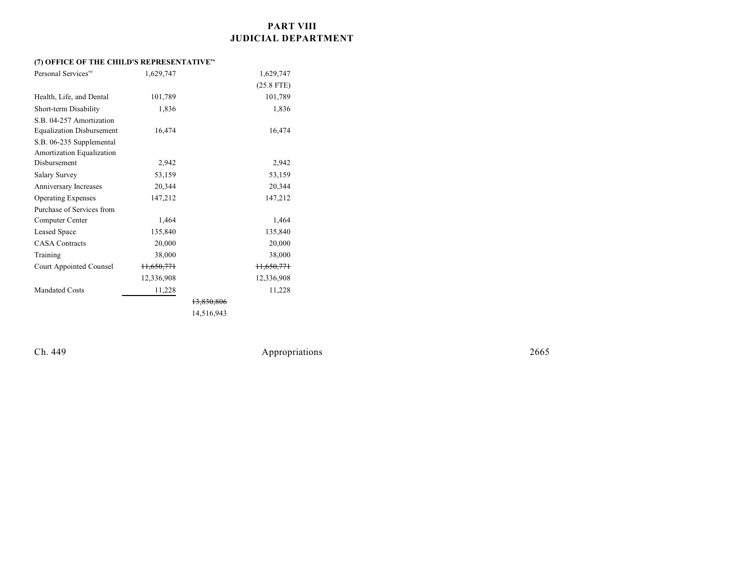### **PART VIII JUDICIAL DEPARTMENT**

### **(7) OFFICE OF THE CHILD'S REPRESENTATIVE<sup>96</sup>**

| Personal Services <sup>90</sup>  | 1,629,747             |            | 1,629,747             |  |
|----------------------------------|-----------------------|------------|-----------------------|--|
|                                  |                       |            | $(25.8$ FTE)          |  |
| Health, Life, and Dental         | 101,789               |            | 101,789               |  |
| Short-term Disability            | 1,836                 |            | 1,836                 |  |
| S.B. 04-257 Amortization         |                       |            |                       |  |
| <b>Equalization Disbursement</b> | 16,474                |            | 16,474                |  |
| S.B. 06-235 Supplemental         |                       |            |                       |  |
| Amortization Equalization        |                       |            |                       |  |
| Disbursement                     | 2,942                 |            | 2,942                 |  |
| <b>Salary Survey</b>             | 53,159                |            | 53,159                |  |
| Anniversary Increases            | 20,344                |            | 20,344                |  |
| <b>Operating Expenses</b>        | 147,212               |            | 147,212               |  |
| Purchase of Services from        |                       |            |                       |  |
| Computer Center                  | 1,464                 |            | 1,464                 |  |
| Leased Space                     | 135,840               |            | 135,840               |  |
| <b>CASA</b> Contracts            | 20,000                |            | 20,000                |  |
| Training                         | 38,000                |            | 38,000                |  |
| Court Appointed Counsel          | <del>11,650,771</del> |            | <del>11,650,771</del> |  |
|                                  | 12,336,908            |            | 12,336,908            |  |
| <b>Mandated Costs</b>            | 11,228                |            | 11,228                |  |
|                                  |                       | 13,830,806 |                       |  |
|                                  |                       | 14,516,943 |                       |  |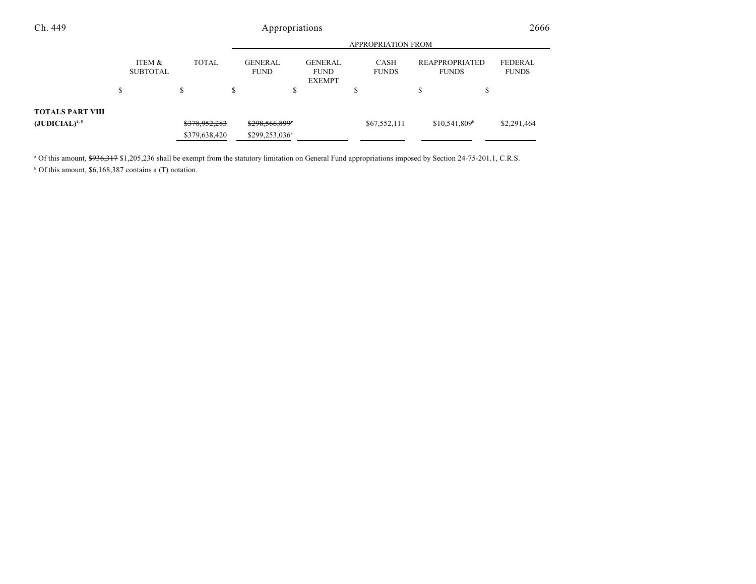| Ch. 449                 |                           |               |                               | Appropriations                                 |                      |                                | 2666                    |
|-------------------------|---------------------------|---------------|-------------------------------|------------------------------------------------|----------------------|--------------------------------|-------------------------|
|                         | <b>APPROPRIATION FROM</b> |               |                               |                                                |                      |                                |                         |
|                         | ITEM &<br><b>SUBTOTAL</b> | <b>TOTAL</b>  | <b>GENERAL</b><br><b>FUND</b> | <b>GENERAL</b><br><b>FUND</b><br><b>EXEMPT</b> | CASH<br><b>FUNDS</b> | REAPPROPRIATED<br><b>FUNDS</b> | FEDERAL<br><b>FUNDS</b> |
|                         | S                         | ¢<br>Ф        |                               | Ъ                                              | S                    | \$<br>¢<br>D                   |                         |
| <b>TOTALS PART VIII</b> |                           |               |                               |                                                |                      |                                |                         |
| $(JUDICIAL)^{4,5}$      |                           | \$378,952,283 | \$298,566,899*                |                                                | \$67,552,111         | $$10,541,809$ <sup>b</sup>     | \$2,291,464             |
|                         |                           | \$379,638,420 | \$299,253,036 <sup>a</sup>    |                                                |                      |                                |                         |

<sup>a</sup> Of this amount, \$936,317 \$1,205,236 shall be exempt from the statutory limitation on General Fund appropriations imposed by Section 24-75-201.1, C.R.S.  $\circ$  Of this amount, \$6,168,387 contains a (T) notation.